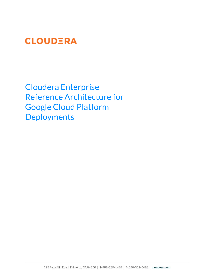# **CLOUDERA**

Cloudera Enterprise Reference Architecture for Google Cloud Platform **Deployments**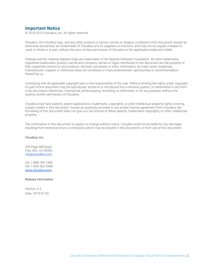### **Important Notice**

© 2010-2019 Cloudera, Inc. All rights reserved.

Cloudera, the Cloudera logo, and any other product or service names or slogans contained in this document, except as otherwise disclaimed, are trademarks of Cloudera and its suppliers or licensors, and may not be copied, imitated or used, in whole or in part, without the prior written permission of Cloudera or the applicable trademark holder.

Hadoop and the Hadoop elephant logo are trademarks of the Apache Software Foundation. All other trademarks, registered trademarks, product names and company names or logos mentioned in this document are the property of their respective owners to any products, services, processes or other information, by trade name, trademark, manufacturer, supplier or otherwise does not constitute or imply endorsement, sponsorship or recommendation thereof by us.

Complying with all applicable copyright laws is the responsibility of the user. Without limiting the rights under copyright, no part of this document may be reproduced, stored in or introduced into a retrieval system, or transmitted in any form or by any means (electronic, mechanical, photocopying, recording, or otherwise), or for any purpose, without the express written permission of Cloudera.

Cloudera may have patents, patent applications, trademarks, copyrights, or other intellectual property rights covering subject matter in this document. Except as expressly provided in any written license agreement from Cloudera, the furnishing of this document does not give you any license to these patents, trademarks copyrights, or other intellectual property.

The information in this document is subject to change without notice. Cloudera shall not be liable for any damages resulting from technical errors or omissions which may be present in this document, or from use of this document.

#### Cloudera, Inc.

395 Page Mill Road Palo Alto, CA 94306 [info@cloudera.com](mailto:info@cloudera.com)

US: 1-888-789-1488 Intl: 1-650-362-0488 [www.cloudera.com](http://www.cloudera.com/)

#### Release Information

Version: 6.3 Date: 2019-07-30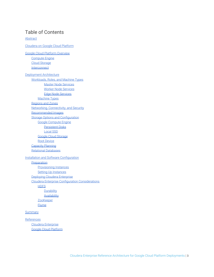# Table of Contents

**[Abstract](#page-3-0)** 

[Cloudera on Google Cloud Platform](#page-4-0) [Google Cloud Platform Overview](#page-4-1) [Compute Engine](#page-4-2) [Cloud Storage](#page-4-3) **[Interconnect](#page-4-4)** [Deployment Architecture](#page-5-0) [Workloads, Roles, and Machine Types](#page-5-1) Master Node Services [Worker Node Services](#page-6-0) [Edge Node Services](#page-6-1) [Machine Types](#page-6-2) [Regions and Zones](#page-7-0) [Networking, Connectivity, and Security](#page-7-1) [Recommended Images](#page-7-2) [Storage Options and Configuration](#page-7-3) [Google Compute Engine](#page-8-0) [Persistent Disks](#page-8-1) [Local SSD](#page-8-2) [Google Cloud Storage](#page-8-3) [Root Device](#page-8-4) [Capacity Planning](#page-8-5) [Relational Databases](#page-9-0) **[Installation and Software Configuration](#page-9-1) [Preparation](#page-9-2)** [Provisioning Instances](#page-9-3) [Setting Up Instances](#page-9-4) [Deploying Cloudera Enterprise](#page-9-5) [Cloudera Enterprise Configuration Considerations](#page-10-0) **[HDFS](#page-10-1) [Durability](#page-10-2) [Availability](#page-10-3) [ZooKeeper](#page-10-4)** [Flume](#page-10-5) **[Summary](#page-10-6)** [References](#page-13-0) [Cloudera Enterprise](#page-13-1)

[Google Cloud Platform](#page-13-2)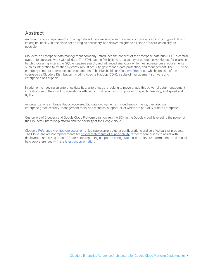# <span id="page-3-0"></span>**Abstract**

An organization's requirements for a big-data solution are simple: Acquire and combine any amount or type of data in its original fidelity, in one place, for as long as necessary, and deliver insights to all kinds of users, as quickly as possible.

Cloudera, an enterprise data management company, introduced the concept of the enterprise data hub (EDH): a central system to store and work with all data. The EDH has the flexibility to run a variety of enterprise workloads (for example, batch processing, interactive SQL, enterprise search, and advanced analytics) while meeting enterprise requirements such as integration to existing systems, robust security, governance, data protection, and management. The EDH is the emerging center of enterprise data management. The EDH builds on [Cloudera Enterprise,](https://www.cloudera.com/products/enterprise-data-hub.html) which consists of the open-source Cloudera Distribution including Apache Hadoop (CDH), a suite of management software and enterprise-class support.

In addition to needing an enterprise data hub, enterprises are looking to move or add this powerful data-management infrastructure to the cloud for operational efficiency, cost reduction, compute and capacity flexibility, and speed and agility.

As organizations embrace Hadoop-powered big-data deployments in cloud environments, they also want enterprise-grade security, management tools, and technical support--all of which are part of Cloudera Enterprise.

Customers of Cloudera and Google Cloud Platform can now run the EDH in the Google cloud, leveraging the power of the Cloudera Enterprise platform and the flexibility of the Google cloud.

[Cloudera Reference Architecture documents](http://www.cloudera.com/documentation/other/reference-architecture.html) illustrate example cluster configurations and certified partner products. The Cloud RAs are not replacements for [official statements of supportability](https://www.cloudera.com/documentation/enterprise/6/release-notes/topics/rg_cloud_and_virtualization.html#concept_ylw_bxl_rcb), rather they're quides to assist with deployment and sizing options. Statements regarding supported configurations in the RA are informational and should be cross-referenced with the [latest documentation.](https://www.cloudera.com/documentation.html)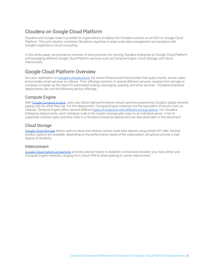# <span id="page-4-0"></span>Cloudera on Google Cloud Platform

Cloudera and Google make it possible for organizations to deploy the Cloudera solution as an EDH on Google Cloud Platform. This joint solution combines Cloudera's expertise in large-scale data management and analytics with Google's expertise in cloud computing.

In this white paper, we provide an overview of best practices for running Cloudera Enterprise on Google Cloud Platform and leveraging different Google Cloud Platform services such as Compute Engine, Cloud Storage, and Cloud Interconnect.

# <span id="page-4-1"></span>Google Cloud Platform Overview

Run your application on [Google's infrastructure](https://cloud.google.com/why-google-cloud/), the same infrastructure that provides fast query results, serves video, and provides email services to millions. Their offerings consists of several different services, ranging from storage to compute, to higher up the stack for automated scaling, messaging, queuing, and other services. Cloudera Enterprise deployments can use the following service offerings.

## <span id="page-4-2"></span>Compute Engine

With [Google Compute Engine,](https://cloud.google.com/compute/) users can utilize high-performance virtual machines powered by Google's global network, paying only for what they use. For this deployment, Compute Engine instances are the equivalent of servers that run Hadoop. Compute Engine offers several different [types of instances with different pricing options](https://cloud.google.com/compute/pricing). For Cloudera Enterprise deployments, each individual node in the cluster conceptually maps to an individual server. A list of supported instance types and their roles in a Cloudera Enterprise deployment are described later in this document.

# <span id="page-4-3"></span>Cloud Storage

[Google Cloud Storage](https://cloud.google.com/storage/) allows users to store and retrieve various sized data objects using simple API calls. Several product options are available, depending on the performance needs of the organization; all options provide a high degree of durability.

### <span id="page-4-4"></span>**Interconnect**

[Google Cloud Hybrid Connectivity](https://cloud.google.com/hybrid-connectivity/) provides several means to establish connectivity between your data center and Compute Engine networks, ranging from Cloud VPN to direct peering to carrier interconnect.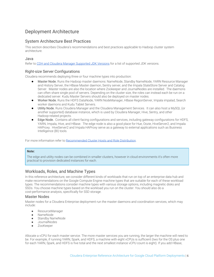# <span id="page-5-0"></span>Deployment Architecture

# System Architecture Best Practices

This section describes Cloudera's recommendations and best practices applicable to Hadoop cluster system architecture.

#### Java

Refer to [CDH and Cloudera Manager Supported JDK Versions](https://www.cloudera.com/documentation/enterprise/6/release-notes/topics/rg_java_requirements.html) for a list of supported JDK versions.

### Right-size Server Configurations

Cloudera recommends deploying three or four machine types into production:

- Master Node. Runs the Hadoop master daemons: NameNode, Standby NameNode, YARN Resource Manager and History Server, the HBase Master daemon, Sentry server, and the Impala StateStore Server and Catalog Server. Master nodes are also the location where Zookeeper and JournalNodes are installed. The daemons can often share single pool of servers. Depending on the cluster size, the roles can instead each be run on a dedicated server. Kudu Master Servers should also be deployed on master nodes.
- Worker Node. Runs the HDFS DataNode, YARN NodeManager, HBase RegionServer, Impala impalad, Search worker daemons and Kudu Tablet Servers.
- Utility Node. Runs Cloudera Manager and the Cloudera Management Services. It can also host a MySQL (or another supported) database instance, which is used by Cloudera Manager, Hive, Sentry, and other Hadoop-related projects.
- Edge Node. Contains all client-facing configurations and services, including gateway configurations for HDFS, YARN, Impala, Hive, and HBase. The edge node is also a good place for Hue, Oozie, HiveServer2, and Impala HAProxy. HiveServer2 and Impala HAProxy serve as a gateway to external applications such as Business Intelligence (BI) tools.

For more information refer to [Recommended Cluster Hosts and Role Distribution](https://www.cloudera.com/documentation/enterprise/latest/topics/cm_ig_host_allocations.html).

#### **Note:**

The edge and utility nodes can be combined in smaller clusters, however in cloud environments it's often more practical to provision dedicated instances for each.

# <span id="page-5-1"></span>Workloads, Roles, and Machine Types

In this reference architecture, we consider different kinds of workloads that run on top of an enterprise data hub and make recommendations on the Google Compute Engine machine types that are suitable for each of these workload types. The recommendations consider machine types with various storage options, including magnetic disks and SSDs. You choose machine types based on the workload you run on the cluster. You should also do a cost-performance analysis, specifically for SSD storage.

#### Master Nodes

Master nodes for a Cloudera Enterprise deployment run the master daemons and coordination services, which may include:

- ResourceManager
- NameNode
- Standby NameNode
- JournalNodes
- ZooKeeper

Allocate a vCPU for each master service. The more master services you are running, the larger the machine will need to be. For example, if running YARN, Spark, and HDFS, a machine with eight vCPUs is sufficient (two for the OS plus one for each YARN, Spark, and HDFS is five total and the next smallest instance vCPU count is eight). If you add HBase,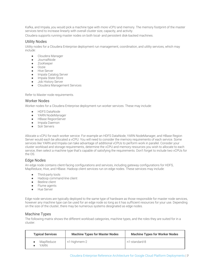Kafka, and Impala, you would pick a machine type with more vCPU and memory. The memory footprint of the master services tend to increase linearly with overall cluster size, capacity, and activity.

Cloudera supports running master nodes on both local- and persistent disk-backed machines.

#### Utility Nodes

Utility nodes for a Cloudera Enterprise deployment run management, coordination, and utility services, which may include:

- Cloudera Manager
- **JournalNode**
- ZooKeeper
- Oozie
- Hive Server
- Impala Catalog Server
- Impala State Store
- Job History Server
- Cloudera Management Services

Refer to Master node requirements.

#### <span id="page-6-0"></span>Worker Nodes

Worker nodes for a Cloudera Enterprise deployment run worker services. These may include:

- HDFS DataNode
- YARN NodeManager
- HBase RegionServer
- Impala Daemon
- Solr Servers

Allocate a vCPU for each worker service. For example an HDFS DataNode, YARN NodeManager, and HBase Region Server would each be allocated a vCPU. You will need to consider the memory requirements of each service. Some services like YARN and Impala can take advantage of additional vCPUs to perform work in parallel. Consider your cluster workload and storage requirements, determine the vCPU and memory resources you wish to allocate to each service, then select a machine type that's capable of satisfying the requirements. Don't forget to include two vCPUs for the OS.

#### <span id="page-6-1"></span>Edge Nodes

An edge node contains client-facing configurations and services, including gateway configurations for HDFS, MapReduce, Hive, and HBase. Hadoop client services run on edge nodes. These services may include:

- Third-party tools
- Hadoop command-line client
- Beeline client
- Flume agents
- Hue Server

Edge node services are typically deployed to the same type of hardware as those responsible for master node services, however any machine type can be used for an edge node so long as it has sufficient resources for your use. Depending on the size of the cluster, there may be numerous systems designated as edge nodes.

#### <span id="page-6-2"></span>Machine Types

The following matrix shows the different workload categories, machine types, and the roles they are suited for in a cluster.

| <b>Typical Services</b> | <b>Machine Types for Master Nodes</b> | <b>Machine Types for Worker Nodes</b> |  |  |
|-------------------------|---------------------------------------|---------------------------------------|--|--|
| MapReduce<br>VARN       | n1-highmem-2                          | n1-standard-8                         |  |  |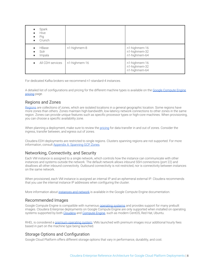| Spark<br>$\bullet$<br>Hive<br>Pig<br>Crunch |               |                                                 |
|---------------------------------------------|---------------|-------------------------------------------------|
| <b>HBase</b><br>Solr<br>Impala<br>$\bullet$ | n1-highmem-8  | n1-highmem-16<br>n1-highmem-32<br>n1-highmem-64 |
| All CDH services                            | n1-highmem-16 | n1-highmem-16<br>n1-highmem-32<br>n1-highmem-64 |

For dedicated Kafka brokers we recommend n1-standard-4 instances.

A detailed list of configurations and pricing for the different machine types is available on the [Google Compute Engine](https://cloud.google.com/compute/pricing) [pricing](https://cloud.google.com/compute/pricing) page.

# <span id="page-7-0"></span>Regions and Zones

[Regions](https://cloud.google.com/compute/docs/regions-zones/) are collections of zones, which are isolated locations in a general geographic location. Some regions have more zones than others. Zones maintain high-bandwidth, low-latency network connections to other zones in the same region. Zones can provide unique features such as specific processor types or high-core machines. When provisioning, you can choose a specific availability zone.

When planning a deployment, make sure to review the [pricing](https://cloud.google.com/storage/pricing) for data transfer in and out of zones. Consider the ingress, transfer between, and egress out of zones.

Cloudera EDH deployments are restricted to single regions. Clusters spanning regions are not supported. For more information, consult [Appendix A: Spanning GCP Zones.](#page-10-7)

# <span id="page-7-1"></span>Networking, Connectivity, and Security

Each VM instance is assigned to a single network, which controls how the instance can communicate with other instances and systems outside the network. The default network allows inbound SSH connections (port 22) and disallows all other inbound connectivity. Outbound connectivity is not restricted, nor is connectivity between instances on the same network.

When provisioned, each VM instance is assigned an internal IP and an ephemeral external IP. Cloudera recommends that you use the internal instance IP addresses when configuring the cluster.

More information about [instances and network](https://cloud.google.com/compute/docs/ip-addresses/reserve-static-external-ip-address) is available in the Google Compute Engine documentation.

### <span id="page-7-2"></span>Recommended Images

Google Compute Engine is compatible with numerous **[operating systems](https://cloud.google.com/compute/docs/images)** and provides support for many prebuilt images. Cloudera Enterprise deployments on Google Compute Engine are only supported when installed on operating systems supported by both [Cloudera](https://www.cloudera.com/documentation/enterprise/release-notes/topics/rn_consolidated_pcm.html#cdh_cm_supported_os) and [Compute Engine](https://cloud.google.com/compute/docs/images#os-compute-support), such as modern CentOS, Red Hat, Ubuntu.

RHEL is considered a [premium operating system;](https://cloud.google.com/compute/pricing#premiumimages) VMs launched with premium images incur additional hourly fees based in part on the machine type being launched.

# <span id="page-7-3"></span>Storage Options and Configuration

Google Cloud Platform offers different storage options that vary in performance, durability, and cost.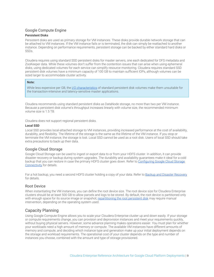### <span id="page-8-0"></span>Google Compute Engine

#### <span id="page-8-1"></span>**Persistent Disks**

Persistent disks are used as primary storage for VM instances. These disks provide durable network storage that can be attached to VM instances. If the VM instance fails or is terminated, the disk can simply be reattached to another instance. Depending on performance requirements, persistent storage can be backed by either standard hard disks or SSDs.

Cloudera requires using standard SSD persistent disks for master servers, one each dedicated for DFS metadata and ZooKeeper data. While these volumes don't suffer from the contention issues that can arise when using ephemeral disks, using dedicated volumes for each service can simplify resource monitoring. Cloudera requires standard SSD persistent disk volumes have a minimum capacity of 100 GB to maintain sufficient IOPs, although volumes can be sized larger to accommodate cluster activity.

#### **Note:**

While less expensive per GB, the [I/O characteristics](https://cloud.google.com/compute/docs/disks/) of standard persistent disk volumes make them unsuitable for the transaction-intensive and latency-sensitive master applications.

Cloudera recommends using standard persistent disks as DataNode storage, no more than two per VM instance. Because a persistent disk volume's throughput increases linearly with volume size, the recommended minimum volume size is 1.5 TB.

Cloudera does not support regional persistent disks.

#### <span id="page-8-2"></span>**Local SSD**

Local SSD provides local-attached storage to VM instances, providing increased performance at the cost of availability, durability, and flexibility. The lifetime of the storage is the same as the lifetime of the VM instance. If you stop or terminate the VM instance, the storage is lost. Local SSD cannot be used as a root disk. Users of local SSD should take extra precautions to back up their data.

#### <span id="page-8-3"></span>Google Cloud Storage

Google Cloud Storage can be used to ingest or export data to or from your HDFS cluster. In addition, it can provide disaster recovery or backup during system upgrades. The durability and availability guarantees make it ideal for a cold backup that you can restore in case the primary HDFS cluster goes down. Refer to [Configuring Google Cloud Storage](https://www.cloudera.com/documentation/enterprise/latest/topics/admin_gcs_config.html) [Connectivity](https://www.cloudera.com/documentation/enterprise/latest/topics/admin_gcs_config.html) for details.

For a hot backup, you need a second HDFS cluster holding a copy of your data. Refer to [Backup and Disaster Recovery](https://www.cloudera.com/documentation/enterprise/latest/topics/cm_bdr_about.html) for details.

#### <span id="page-8-4"></span>Root Device

When instantiating the VM instances, you can define the root device size. The root device size for Cloudera Enterprise clusters should be at least 500 GB to allow parcels and logs to be stored. By default, the root device is partitioned only with enough space for its source image or snapshot; [repartitioning the root persistent disk](https://cloud.google.com/compute/docs/disks/create-root-persistent-disks#repartitionrootpd) may require manual intervention, depending on the operating system used.

### <span id="page-8-5"></span>Capacity Planning

Using Google Compute Engine allows you to scale your Cloudera Enterprise cluster up and down easily. If your storage or compute requirements change, you can provision and deprovision instances and meet your requirements quickly, without buying physical servers. However, some advance planning makes operations easier. You must plan for whether your workloads need a high amount of memory or compute. The available VM instances have different amounts of memory and compute, and deciding which instance type and generation make up your initial deployment depends on the storage and workload requirements. The operational cost of your cluster depends on the type and number of instances you choose, combined with the amount and type of storage provisioned.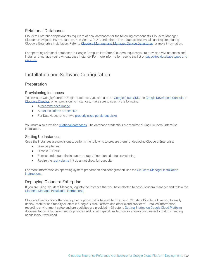## <span id="page-9-0"></span>Relational Databases

Cloudera Enterprise deployments require relational databases for the following components: Cloudera Manager, Cloudera Navigator, Hive metastore, Hue, Sentry, Oozie, and others. The database credentials are required during Cloudera Enterprise installation. Refer to [Cloudera Manager and Managed Service Datastores](https://www.cloudera.com/documentation/enterprise/latest/topics/cm_ig_installing_configuring_dbs.html) for more information.

For operating relational databases in Google Compute Platform, Cloudera requires you to provision VM instances and install and manage your own database instance. For more information, see to the list of [supported database types and](https://www.cloudera.com/documentation/enterprise/6/release-notes/topics/rg_database_requirements.html) [versions](https://www.cloudera.com/documentation/enterprise/6/release-notes/topics/rg_database_requirements.html).

# <span id="page-9-1"></span>Installation and Software Configuration

# <span id="page-9-2"></span>Preparation

#### <span id="page-9-3"></span>Provisioning Instances

To provision Google Compute Engine instances, you can use the [Google Cloud SDK](https://cloud.google.com/sdk/), the [Google Developers Console,](https://console.developers.google.com/) or [Cloudera Director.](http://www.cloudera.com/content/cloudera/en/documentation/cloudera-director/latest/topics/director_intro.html) When provisioning instances, make sure to specify the following:

- A [recommended image](#page-7-2)
- A [root disk of the proper size](#page-8-4)
- For DataNodes, one or two [properly sized persistent disks](#page-8-1)

You must also provision [relational databases](#page-9-0). The database credentials are required during Cloudera Enterprise installation.

#### <span id="page-9-4"></span>Setting Up Instances

Once the instances are provisioned, perform the following to prepare them for deploying Cloudera Enterprise:

- Disable iptables
- Disable SELinux
- Format and mount the instance storage, if not done during provisioning
- Resize the [root volume](#page-8-4) if it does not show full capacity

For more information on operating system preparation and configuration, see the [Cloudera Manager installation](https://www.cloudera.com/documentation/enterprise/6/latest/topics/installation.html) [instructions](https://www.cloudera.com/documentation/enterprise/6/latest/topics/installation.html).

### <span id="page-9-5"></span>Deploying Cloudera Enterprise

If you are using Cloudera Manager, log into the instance that you have elected to host Cloudera Manager and follow the [Cloudera Manager installation instructions](https://www.cloudera.com/documentation/enterprise/6/latest/topics/installation.html).

Cloudera Director is another deployment option that is tailored for the cloud. Cloudera Director allows you to easily deploy, monitor and modify clusters in Google Cloud Platform and other cloud providers. Detailed information regarding environment setup and prerequisites are provided in Director's [Getting Started on Google Cloud Platform](https://www.cloudera.com/documentation/director/latest/topics/director_get_started_gcp.html) documentation. Cloudera Director provides additional capabilities to grow or shrink your cluster to match changing needs in your workload.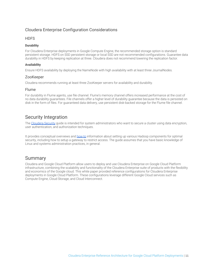# <span id="page-10-0"></span>Cloudera Enterprise Configuration Considerations

#### <span id="page-10-1"></span>**HDFS**

#### <span id="page-10-2"></span>**Durability**

For Cloudera Enterprise deployments in Google Compute Engine, the recommended storage option is standard persistent storage. HDFS on SSD persistent storage or local SSD are not recommended configurations. Guarantee data durability in HDFS by keeping replication at three. Cloudera does not recommend lowering the replication factor.

#### <span id="page-10-3"></span>**Availability**

Ensure HDFS availability by deploying the NameNode with high availability with at least three JournalNodes.

#### <span id="page-10-4"></span>ZooKeeper

Cloudera recommends running at least three ZooKeeper servers for availability and durability.

#### <span id="page-10-5"></span>Flume

For durability in Flume agents, use file channel. Flume's memory channel offers increased performance at the cost of no data durability guarantees. File channels offer a higher level of durability guarantee because the data is persisted on disk in the form of files. For guaranteed data delivery, use persistent disk-backed storage for the Flume file channel.

# Security Integration

The [Cloudera Security](https://www.cloudera.com/documentation/enterprise/latest/topics/security.html) guide is intended for system administrators who want to secure a cluster using data encryption, user authentication, and authorization techniques.

It provides conceptual overviews and [how-to](https://www.cloudera.com/documentation/enterprise/latest/topics/sg_how_tos_intro.html#security_howto_guides) information about setting up various Hadoop components for optimal security, including how to setup a gateway to restrict access. The guide assumes that you have basic knowledge of Linux and systems administration practices, in general.

# <span id="page-10-6"></span>Summary

<span id="page-10-7"></span>Cloudera and Google Cloud Platform allow users to deploy and use Cloudera Enterprise on Google Cloud Platform infrastructure, combining the scalability and functionality of the Cloudera Enterprise suite of products with the flexibility and economics of the Google cloud. This white paper provided reference configurations for Cloudera Enterprise deployments in Google Cloud Platform. These configurations leverage different Google Cloud services such as Compute Engine, Cloud Storage, and Cloud Interconnect.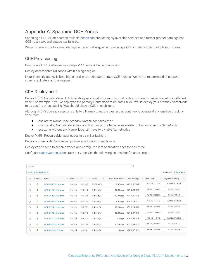# Appendix A: Spanning GCE Zones

Spanning a CDH cluster across multiple [Zones](https://cloud.google.com/compute/docs/regions-zones/) can provide highly available services and further protect data against GCE host, rack, and datacenter failures.

We recommend the following deployment methodology when spanning a CDH cluster across multiple GCE zones.

# GCE Provisioning

Provision all GCE instances in a single VPC network but within zones.

Deploy across three (3) zones within a single region.

Note: Network latency is both higher and less predictable across GCE regions. We do not recommend or support spanning clusters across regions.

## CDH Deployment

Deploy HDFS NameNode in High Availability mode with Quorum Journal nodes, with each master placed in a different zone. For example, if you've deployed the primary NameNode to us-east1-b you would deploy your standby NameNode to us-east1-a or us-east1-c. You should place a QJN in each zone.

Although HDFS currently supports only two NameNodes, the cluster can continue to operate if any one host, rack, or zone fails:

- lose active NameNode, standby NameNode takes over
- lose standby NameNode, active is still active; promote 3rd zone master to be new standby NameNode
- lose zone without any NameNode, still have two viable NameNodes

Deploy YARN ResourceManager nodes in a similar fashion.

Deploy a three node ZooKeeper quorum, one located in each zone.

Deploy edge nodes to all three zones and configure client application access to all three.

Configure [rack awareness,](https://www.cloudera.com/documentation/enterprise/latest/topics/cm_mc_specify_rack.html) one rack per zone. See the following screenshot for an example.

| Search                             |                     |                           |                   |                                                   |                   |                  | 0                    |                    |                             |
|------------------------------------|---------------------|---------------------------|-------------------|---------------------------------------------------|-------------------|------------------|----------------------|--------------------|-----------------------------|
| Columns:<br>Actions for Selected • |                     |                           |                   |                                                   |                   |                  |                      |                    |                             |
|                                    | <b>Status</b><br>÷. | Name                      | Rack<br>÷<br>n al | IP<br>$\frac{\partial \mathcal{L}}{\partial x^i}$ | Roles<br>÷        | Last Heartbeat + | Load Average         | Disk Usage         | <b>Physical Memory</b><br>÷ |
| O                                  | ◎                   | ip-10-6-6-16.ec2.internal | /east-1b          | 10.6.6.16                                         | $\geq 10$ Role(s) | 9.37s ago        | 0.29 0.52 0.40       | 97.7 GiB / 1.7 TiB | 6.9 GiB / 57.8 GiB          |
| n                                  | $\bullet$           | ip-10-6-6-40.ec2.internal | /east-1b          | 10.6.6.40                                         | $\geq 4$ Role(s)  | 10.04s ago       | 0.01 0.08 0.13       | 7.6 GiB / 500 GiB  | 1.8 GiB / 31 GiB            |
| O                                  | ◎                   | ip-10-6-6-46.ec2.internal | /east-1b          | 10.6.6.46                                         | $\geq 4$ Role(s)  | 10.08s ago       | $0.01$ $0.06$ $0.12$ | 7.6 GiB / 500 GiB  | 1.8 GiB / 31 GiB            |
| n                                  | O                   | ip-10-6-7-16.ec2.internal | /east-1c          | 10.6.7.16                                         | $\geq 9$ Role(s)  | $9.32s$ ago      | 0.10 0.23 0.21       | 95.9 GiB / 1.7 TiB | 3.8 GiB / 57.8 GiB          |
| n                                  | ◎                   | ip-10-6-7-31.ec2.internal | /east-1c          | 10.6.7.31                                         | $\geq 4$ Role(s)  | 10.13s ago       | 0.01 0.10 0.20       | 7.6 GiB / 500 GiB  | 1.8 GiB / 31 GiB            |
| Ω                                  | $\bullet$           | ip-10-6-7-46.ec2.internal | /east-1c          | 10.6.7.46                                         | $\geq 4$ Role(s)  | 10.03s ago       | $0.01$ $0.07$ $0.13$ | 7.5 GiB / 500 GiB  | 1.8 GiB / 31 GiB            |
| n                                  | $\bullet$           | ip-10-6-8-29.ec2.internal | /east-1d          | 10.6.8.29                                         | $\geq 8$ Role(s)  | $9.7s$ ago       | 0.09 0.22 0.19       | 95.9 GiB / 1.7 TiB | 3.6 GiB / 57.8 GiB          |
| Ω                                  | $\bullet$           | ip-10-6-8-54.ec2.internal | /east-1d          | 10.6.8.54                                         | $\geq 4$ Role(s)  | 10.15s ago       | $0.01$ $0.06$ $0.13$ | 7.6 GiB / 500 GiB  | 1.8 GiB / 31 GiB            |
| o                                  | ◎                   | ip-10-6-8-8.ec2.internal  | /east-1d          | 10.6.8.8                                          | $\geq 4$ Role(s)  | 10s ago          | $0.00$ $0.07$ $0.15$ | 7.6 GiB / 500 GiB  | 1.8 GiB / 31 GiB            |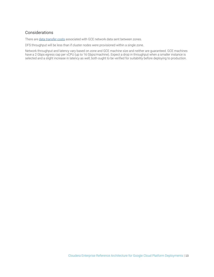# **Considerations**

There are [data transfer costs](https://cloud.google.com/compute/pricing#network) associated with GCE network data sent between zones.

DFS throughput will be less than if cluster nodes were provisioned within a single zone.

Network throughput and latency vary based on zone and GCE machine size and neither are guaranteed. GCE machines have a 2 Gbps egress cap per vCPU (up to 16 Gbps/machine). Expect a drop in throughput when a smaller instance is selected and a slight increase in latency as well; both ought to be verified for suitability before deploying to production.